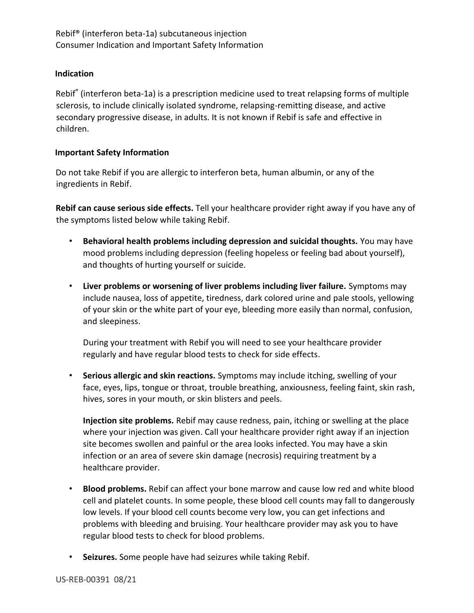## **Indication**

Rebif® (interferon beta-1a) is a prescription medicine used to treat relapsing forms of multiple sclerosis, to include clinically isolated syndrome, relapsing-remitting disease, and active secondary progressive disease, in adults. It is not known if Rebif is safe and effective in children.

## **Important Safety Information**

Do not take Rebif if you are allergic to interferon beta, human albumin, or any of the ingredients in Rebif.

**Rebif can cause serious side effects.** Tell your healthcare provider right away if you have any of the symptoms listed below while taking Rebif.

- **Behavioral health problems including depression and suicidal thoughts.** You may have mood problems including depression (feeling hopeless or feeling bad about yourself), and thoughts of hurting yourself or suicide.
- **Liver problems or worsening of liver problems including liver failure.** Symptoms may include nausea, loss of appetite, tiredness, dark colored urine and pale stools, yellowing of your skin or the white part of your eye, bleeding more easily than normal, confusion, and sleepiness.

During your treatment with Rebif you will need to see your healthcare provider regularly and have regular blood tests to check for side effects.

• **Serious allergic and skin reactions.** Symptoms may include itching, swelling of your face, eyes, lips, tongue or throat, trouble breathing, anxiousness, feeling faint, skin rash, hives, sores in your mouth, or skin blisters and peels.

**Injection site problems.** Rebif may cause redness, pain, itching or swelling at the place where your injection was given. Call your healthcare provider right away if an injection site becomes swollen and painful or the area looks infected. You may have a skin infection or an area of severe skin damage (necrosis) requiring treatment by a healthcare provider.

- **Blood problems.** Rebif can affect your bone marrow and cause low red and white blood cell and platelet counts. In some people, these blood cell counts may fall to dangerously low levels. If your blood cell counts become very low, you can get infections and problems with bleeding and bruising. Your healthcare provider may ask you to have regular blood tests to check for blood problems.
- **Seizures.** Some people have had seizures while taking Rebif.